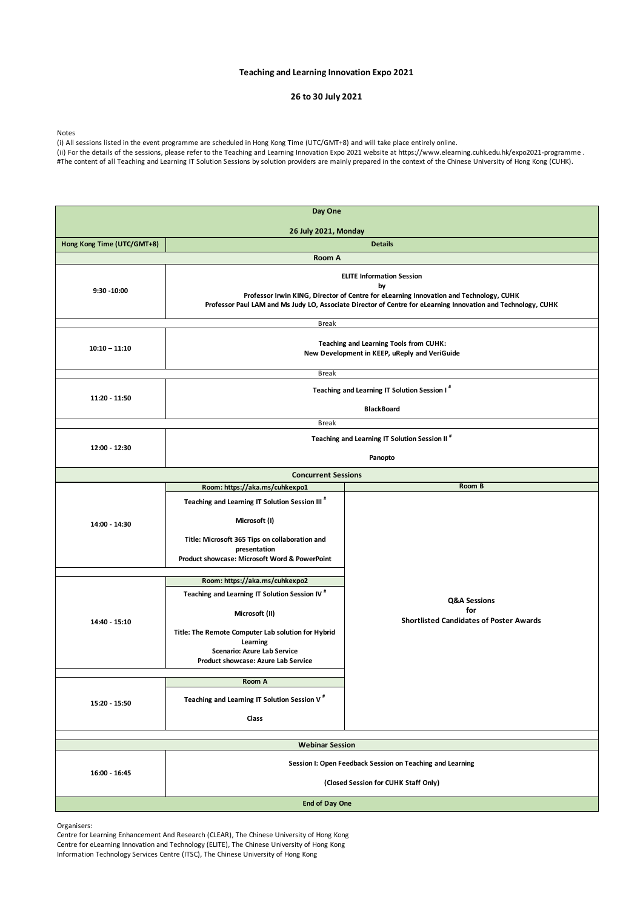Organisers:

Centre for Learning Enhancement And Research (CLEAR), The Chinese University of Hong Kong Centre for eLearning Innovation and Technology (ELITE), The Chinese University of Hong Kong Information Technology Services Centre (ITSC), The Chinese University of Hong Kong

(ii) For the details of the sessions, please refer to the Teaching and Learning Innovation Expo 2021 website at https://www.elearning.cuhk.edu.hk/expo2021-programme . #The content of all Teaching and Learning IT Solution Sessions by solution providers are mainly prepared in the context of the Chinese University of Hong Kong (CUHK).

# **Teaching and Learning Innovation Expo 2021**

# **26 to 30 July 2021**

Notes

(i) All sessions listed in the event programme are scheduled in Hong Kong Time (UTC/GMT+8) and will take place entirely online.

| Day One                     |                                                                                                                                                                                                                                                   |                                                |  |  |
|-----------------------------|---------------------------------------------------------------------------------------------------------------------------------------------------------------------------------------------------------------------------------------------------|------------------------------------------------|--|--|
| <b>26 July 2021, Monday</b> |                                                                                                                                                                                                                                                   |                                                |  |  |
| Hong Kong Time (UTC/GMT+8)  | <b>Details</b>                                                                                                                                                                                                                                    |                                                |  |  |
|                             | <b>Room A</b>                                                                                                                                                                                                                                     |                                                |  |  |
| $9:30 - 10:00$              | <b>ELITE Information Session</b><br>by<br>Professor Irwin KING, Director of Centre for eLearning Innovation and Technology, CUHK<br>Professor Paul LAM and Ms Judy LO, Associate Director of Centre for eLearning Innovation and Technology, CUHK |                                                |  |  |
|                             | <b>Break</b>                                                                                                                                                                                                                                      |                                                |  |  |
| $10:10 - 11:10$             | <b>Teaching and Learning Tools from CUHK:</b><br>New Development in KEEP, uReply and VeriGuide                                                                                                                                                    |                                                |  |  |
|                             | <b>Break</b>                                                                                                                                                                                                                                      |                                                |  |  |
| 11:20 - 11:50               | Teaching and Learning IT Solution Session I <sup>#</sup><br><b>BlackBoard</b>                                                                                                                                                                     |                                                |  |  |
|                             | <b>Break</b>                                                                                                                                                                                                                                      |                                                |  |  |
|                             |                                                                                                                                                                                                                                                   |                                                |  |  |
| 12:00 - 12:30               | Teaching and Learning IT Solution Session II <sup>#</sup><br>Panopto                                                                                                                                                                              |                                                |  |  |
|                             | <b>Concurrent Sessions</b>                                                                                                                                                                                                                        |                                                |  |  |
|                             | Room: https://aka.ms/cuhkexpo1                                                                                                                                                                                                                    | Room B                                         |  |  |
| 14:00 - 14:30               | Teaching and Learning IT Solution Session III <sup>#</sup><br>Microsoft (I)<br>Title: Microsoft 365 Tips on collaboration and<br>presentation<br>Product showcase: Microsoft Word & PowerPoint                                                    |                                                |  |  |
|                             | Room: https://aka.ms/cuhkexpo2                                                                                                                                                                                                                    |                                                |  |  |
|                             | Teaching and Learning IT Solution Session IV <sup>#</sup><br>Microsoft (II)                                                                                                                                                                       | <b>Q&amp;A Sessions</b><br>for                 |  |  |
| 14:40 - 15:10               | Title: The Remote Computer Lab solution for Hybrid<br>Learning<br><b>Scenario: Azure Lab Service</b><br><b>Product showcase: Azure Lab Service</b>                                                                                                | <b>Shortlisted Candidates of Poster Awards</b> |  |  |
|                             | <b>Room A</b>                                                                                                                                                                                                                                     |                                                |  |  |
| 15:20 - 15:50               | Teaching and Learning IT Solution Session V <sup>#</sup>                                                                                                                                                                                          |                                                |  |  |
|                             | <b>Class</b>                                                                                                                                                                                                                                      |                                                |  |  |
|                             |                                                                                                                                                                                                                                                   |                                                |  |  |
| <b>Webinar Session</b>      |                                                                                                                                                                                                                                                   |                                                |  |  |
| 16:00 - 16:45               | Session I: Open Feedback Session on Teaching and Learning<br>(Closed Session for CUHK Staff Only)                                                                                                                                                 |                                                |  |  |
| <b>End of Day One</b>       |                                                                                                                                                                                                                                                   |                                                |  |  |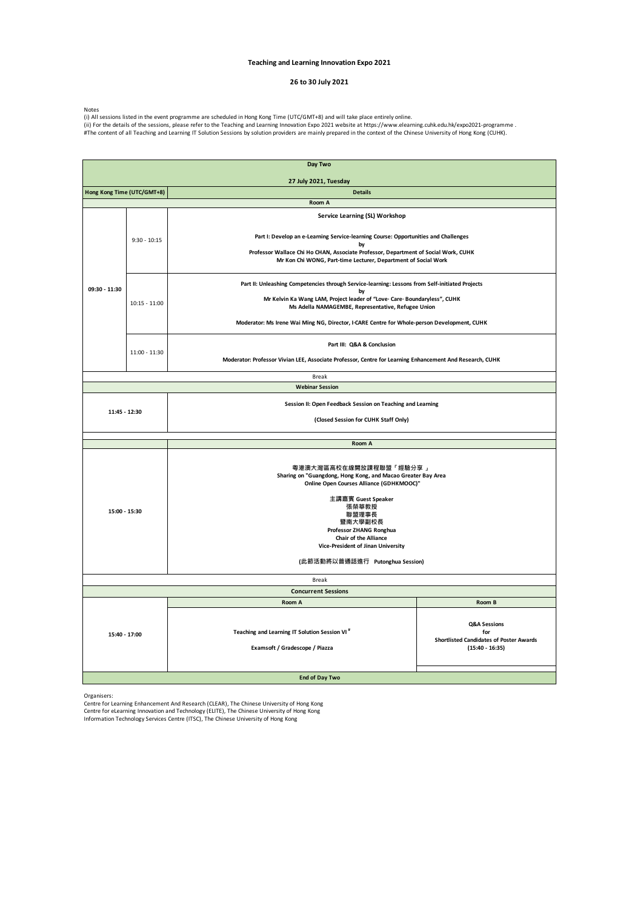### Organisers:

Centre for Learning Enhancement And Research (CLEAR), The Chinese University of Hong Kong Centre for eLearning Innovation and Technology (ELITE), The Chinese University of Hong Kong Information Technology Services Centre (ITSC), The Chinese University of Hong Kong

| Day Two                    |                            |                                                                                                                                                                                                                                                                                               |                                                                                                      |  |
|----------------------------|----------------------------|-----------------------------------------------------------------------------------------------------------------------------------------------------------------------------------------------------------------------------------------------------------------------------------------------|------------------------------------------------------------------------------------------------------|--|
|                            |                            | 27 July 2021, Tuesday                                                                                                                                                                                                                                                                         |                                                                                                      |  |
| Hong Kong Time (UTC/GMT+8) |                            | <b>Details</b>                                                                                                                                                                                                                                                                                |                                                                                                      |  |
|                            |                            | Room A                                                                                                                                                                                                                                                                                        |                                                                                                      |  |
| 09:30 - 11:30              |                            | Service Learning (SL) Workshop                                                                                                                                                                                                                                                                |                                                                                                      |  |
|                            | $9:30 - 10:15$             | Part I: Develop an e-Learning Service-learning Course: Opportunities and Challenges<br>by                                                                                                                                                                                                     |                                                                                                      |  |
|                            |                            | Professor Wallace Chi Ho CHAN, Associate Professor, Department of Social Work, CUHK<br>Mr Kon Chi WONG, Part-time Lecturer, Department of Social Work                                                                                                                                         |                                                                                                      |  |
|                            |                            | Part II: Unleashing Competencies through Service-learning: Lessons from Self-initiated Projects<br>by                                                                                                                                                                                         |                                                                                                      |  |
|                            | $10:15 - 11:00$            | Mr Kelvin Ka Wang LAM, Project leader of "Love· Care· Boundaryless", CUHK<br>Ms Adella NAMAGEMBE, Representative, Refugee Union                                                                                                                                                               |                                                                                                      |  |
|                            |                            | Moderator: Ms Irene Wai Ming NG, Director, I.CARE Centre for Whole-person Development, CUHK                                                                                                                                                                                                   |                                                                                                      |  |
|                            | 11:00 - 11:30              | Part III: Q&A & Conclusion                                                                                                                                                                                                                                                                    |                                                                                                      |  |
|                            |                            | Moderator: Professor Vivian LEE, Associate Professor, Centre for Learning Enhancement And Research, CUHK                                                                                                                                                                                      |                                                                                                      |  |
|                            |                            | <b>Break</b><br><b>Webinar Session</b>                                                                                                                                                                                                                                                        |                                                                                                      |  |
|                            |                            |                                                                                                                                                                                                                                                                                               |                                                                                                      |  |
| 11:45 - 12:30              |                            | Session II: Open Feedback Session on Teaching and Learning                                                                                                                                                                                                                                    |                                                                                                      |  |
|                            |                            | (Closed Session for CUHK Staff Only)                                                                                                                                                                                                                                                          |                                                                                                      |  |
|                            |                            | Room A                                                                                                                                                                                                                                                                                        |                                                                                                      |  |
| 15:00 - 15:30              |                            | 粵港澳大灣區高校在線開放課程聯盟「經驗分享」<br>Sharing on "Guangdong, Hong Kong, and Macao Greater Bay Area<br>Online Open Courses Alliance (GDHKMOOC)"<br>主講嘉賓 Guest Speaker<br>張榮華教授<br>聯盟理事長<br>暨南大學副校長<br>Professor ZHANG Ronghua<br><b>Chair of the Alliance</b><br><b>Vice-President of Jinan University</b> |                                                                                                      |  |
|                            |                            | (此節活動將以普通話進行 Putonghua Session)                                                                                                                                                                                                                                                               |                                                                                                      |  |
| <b>Break</b>               |                            |                                                                                                                                                                                                                                                                                               |                                                                                                      |  |
|                            | <b>Concurrent Sessions</b> |                                                                                                                                                                                                                                                                                               |                                                                                                      |  |
| 15:40 - 17:00              |                            | Room A<br>Teaching and Learning IT Solution Session VI <sup>#</sup><br>Examsoft / Gradescope / Piazza                                                                                                                                                                                         | Room B<br>Q&A Sessions<br>for<br><b>Shortlisted Candidates of Poster Awards</b><br>$(15:40 - 16:35)$ |  |
| <b>End of Day Two</b>      |                            |                                                                                                                                                                                                                                                                                               |                                                                                                      |  |

## **Teaching and Learning Innovation Expo 2021**

# **26 to 30 July 2021**

Notes

(i) All sessions listed in the event programme are scheduled in Hong Kong Time (UTC/GMT+8) and will take place entirely online.

(ii) For the details of the sessions, please refer to the Teaching and Learning Innovation Expo 2021 website at https://www.elearning.cuhk.edu.hk/expo2021-programme .

#The content of all Teaching and Learning IT Solution Sessions by solution providers are mainly prepared in the context of the Chinese University of Hong Kong (CUHK).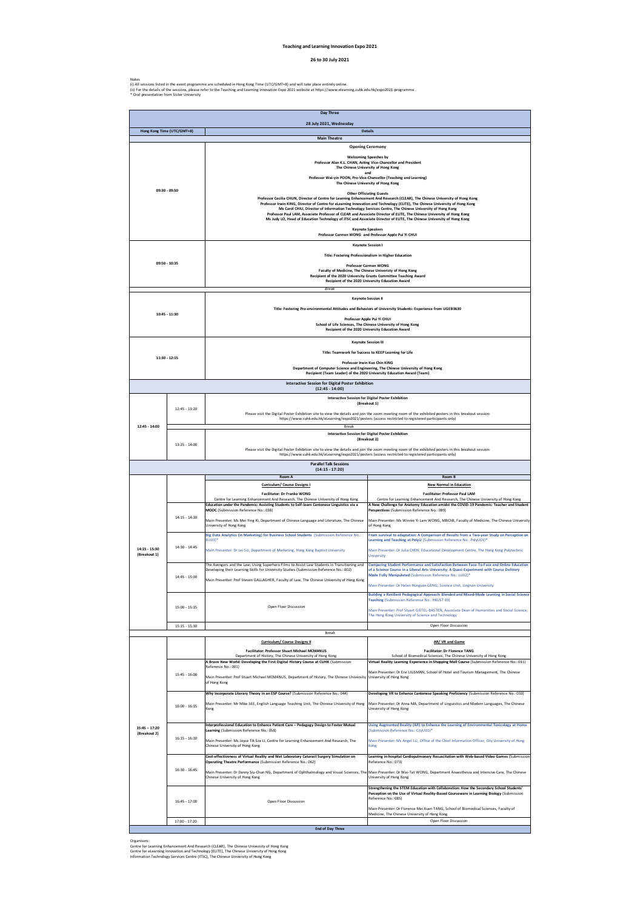### **Teaching and Learning Innovation Expo 2021**

### **26 to 30 July 2021**

Notes<br>(i) All sessions listed in the event programme are scheduled in Hong Kong Time (UTC/GMT+8) and will take place entirely online.<br>(ii) For the details of the sessions, please refer to the Teaching and Learning Innovati

| Day Three                                                               |                                                                                                                                                                                                                                                                                                       |                                                                                                                                                                                                                                                                                                                                                                                                                                                                                                                                                                                                                                                                                                                                                                                                                                                                                                                                                                                   |                                                                                                                                                                                                                                                                 |  |
|-------------------------------------------------------------------------|-------------------------------------------------------------------------------------------------------------------------------------------------------------------------------------------------------------------------------------------------------------------------------------------------------|-----------------------------------------------------------------------------------------------------------------------------------------------------------------------------------------------------------------------------------------------------------------------------------------------------------------------------------------------------------------------------------------------------------------------------------------------------------------------------------------------------------------------------------------------------------------------------------------------------------------------------------------------------------------------------------------------------------------------------------------------------------------------------------------------------------------------------------------------------------------------------------------------------------------------------------------------------------------------------------|-----------------------------------------------------------------------------------------------------------------------------------------------------------------------------------------------------------------------------------------------------------------|--|
| 28 July 2021, Wednesday<br>Hong Kong Time (UTC/GMT+8)<br><b>Details</b> |                                                                                                                                                                                                                                                                                                       |                                                                                                                                                                                                                                                                                                                                                                                                                                                                                                                                                                                                                                                                                                                                                                                                                                                                                                                                                                                   |                                                                                                                                                                                                                                                                 |  |
|                                                                         | <b>Main Theatre</b>                                                                                                                                                                                                                                                                                   |                                                                                                                                                                                                                                                                                                                                                                                                                                                                                                                                                                                                                                                                                                                                                                                                                                                                                                                                                                                   |                                                                                                                                                                                                                                                                 |  |
| 09:30 - 09:50                                                           |                                                                                                                                                                                                                                                                                                       | <b>Opening Ceremony</b><br><b>Welcoming Speeches by</b><br>Professor Alan K.L. CHAN, Acting Vice-Chancellor and President<br>The Chinese University of Hong Kong<br>and<br>Professor Wai-yin POON, Pro-Vice-Chancellor (Teaching and Learning)<br>The Chinese University of Hong Kong<br><b>Other Officiating Guests</b><br>Professor Cecilia CHUN, Director of Centre for Learning Enhancement And Research (CLEAR), The Chinese University of Hong Kong<br>Professor Irwin KING, Director of Centre for eLearning Innovation and Technology (ELITE), The Chinese University of Hong Kong<br>Ms Carol CHIU, Director of Information Technology Services Centre, The Chinese University of Hong Kong<br>Professor Paul LAM, Associate Professor of CLEAR and Associate Director of ELITE, The Chinese University of Hong Kong<br>Ms Judy LO, Head of Education Technology of ITSC and Associate Director of ELITE, The Chinese University of Hong Kong<br><b>Keynote Speakers</b> |                                                                                                                                                                                                                                                                 |  |
|                                                                         |                                                                                                                                                                                                                                                                                                       | Professor Carmen WONG and Professor Apple Pui Yi CHUI<br><b>Keynote Session I</b>                                                                                                                                                                                                                                                                                                                                                                                                                                                                                                                                                                                                                                                                                                                                                                                                                                                                                                 |                                                                                                                                                                                                                                                                 |  |
| 09:50 - 10:35                                                           |                                                                                                                                                                                                                                                                                                       | Title: Fostering Professionalism in Higher Education<br><b>Professor Carmen WONG</b><br>Faculty of Medicine, The Chinese Univeristy of Hong Kong<br>Recipient of the 2020 University Grants Committee Teaching Award<br>Recipient of the 2020 University Education Award                                                                                                                                                                                                                                                                                                                                                                                                                                                                                                                                                                                                                                                                                                          |                                                                                                                                                                                                                                                                 |  |
|                                                                         |                                                                                                                                                                                                                                                                                                       | <b>Break</b>                                                                                                                                                                                                                                                                                                                                                                                                                                                                                                                                                                                                                                                                                                                                                                                                                                                                                                                                                                      |                                                                                                                                                                                                                                                                 |  |
| 10:45 - 11:30                                                           |                                                                                                                                                                                                                                                                                                       | <b>Keynote Session II</b><br>Title: Fostering Pro-environmental Attitudes and Behaviors of University Students: Experience from UGEB3630<br>Professor Apple Pui Yi CHUI<br>School of Life Sciences, The Chinese University of Hong Kong<br>Recipient of the 2020 University Education Award                                                                                                                                                                                                                                                                                                                                                                                                                                                                                                                                                                                                                                                                                       |                                                                                                                                                                                                                                                                 |  |
|                                                                         | <b>Keynote Session III</b><br>Title: Teamwork for Success to KEEP Learning for Life<br>11:30 - 12:15<br>Professor Irwin Kuo Chin KING<br>Department of Computer Science and Engineering, The Chinese University of Hong Kong<br>Recipient (Team Leader) of the 2020 University Education Award (Team) |                                                                                                                                                                                                                                                                                                                                                                                                                                                                                                                                                                                                                                                                                                                                                                                                                                                                                                                                                                                   |                                                                                                                                                                                                                                                                 |  |
|                                                                         |                                                                                                                                                                                                                                                                                                       | <b>Interactive Session for Digital Poster Exhibition</b><br>$(12:45 - 14:00)$                                                                                                                                                                                                                                                                                                                                                                                                                                                                                                                                                                                                                                                                                                                                                                                                                                                                                                     |                                                                                                                                                                                                                                                                 |  |
|                                                                         | 12:45 - 13:20                                                                                                                                                                                                                                                                                         | <b>Interactive Session for Digital Poster Exhibition</b><br>(Breakout 1)<br>Please visit the Digital Poster Exhibition site to view the details and join the zoom meeting room of the exhibited posters in this breakout session:<br>https://www.cuhk.edu.hk/eLearning/expo2021/posters (access restricted to registered participants only)                                                                                                                                                                                                                                                                                                                                                                                                                                                                                                                                                                                                                                       |                                                                                                                                                                                                                                                                 |  |
| 12:45 - 14:00                                                           |                                                                                                                                                                                                                                                                                                       | Break                                                                                                                                                                                                                                                                                                                                                                                                                                                                                                                                                                                                                                                                                                                                                                                                                                                                                                                                                                             | <b>Interactive Session for Digital Poster Exhibition</b>                                                                                                                                                                                                        |  |
|                                                                         | 13:25 - 14:00                                                                                                                                                                                                                                                                                         |                                                                                                                                                                                                                                                                                                                                                                                                                                                                                                                                                                                                                                                                                                                                                                                                                                                                                                                                                                                   | (Breakout 2)                                                                                                                                                                                                                                                    |  |
|                                                                         |                                                                                                                                                                                                                                                                                                       |                                                                                                                                                                                                                                                                                                                                                                                                                                                                                                                                                                                                                                                                                                                                                                                                                                                                                                                                                                                   | Please visit the Digital Poster Exhibition site to view the details and join the zoom meeting room of the exhibited posters in this breakout session:<br>https://www.cuhk.edu.hk/eLearning/expo2021/posters (access restricted to registered participants only) |  |
|                                                                         |                                                                                                                                                                                                                                                                                                       | <b>Parallel Talk Sessions</b><br>$(14:15 - 17:20)$                                                                                                                                                                                                                                                                                                                                                                                                                                                                                                                                                                                                                                                                                                                                                                                                                                                                                                                                |                                                                                                                                                                                                                                                                 |  |
|                                                                         |                                                                                                                                                                                                                                                                                                       | Room A                                                                                                                                                                                                                                                                                                                                                                                                                                                                                                                                                                                                                                                                                                                                                                                                                                                                                                                                                                            | Room B                                                                                                                                                                                                                                                          |  |
|                                                                         |                                                                                                                                                                                                                                                                                                       |                                                                                                                                                                                                                                                                                                                                                                                                                                                                                                                                                                                                                                                                                                                                                                                                                                                                                                                                                                                   |                                                                                                                                                                                                                                                                 |  |
|                                                                         |                                                                                                                                                                                                                                                                                                       | Curriculum/ Course Designs I<br>Facilitator: Dr Franko WONG                                                                                                                                                                                                                                                                                                                                                                                                                                                                                                                                                                                                                                                                                                                                                                                                                                                                                                                       | <b>New Normal in Education</b><br><b>Facilitator: Professor Paul LAM</b>                                                                                                                                                                                        |  |
|                                                                         | $14:15 - 14:30$                                                                                                                                                                                                                                                                                       | Centre for Learning Enhancement And Research, The Chinese University of Hong Kong<br>Education under the Pandemic: Assisting Students to Self-learn Cantonese Linguistics via a<br>MOOC (Submission Reference No.: 038)                                                                                                                                                                                                                                                                                                                                                                                                                                                                                                                                                                                                                                                                                                                                                           | Centre for Learning Enhancement And Research, The Chinese University of Hong Kong<br>A New Challenge for Anatomy Education amidst the COVID-19 Pandemic: Teacher and Student<br>Perspectives (Submission Reference No.: 089)                                    |  |
|                                                                         |                                                                                                                                                                                                                                                                                                       | Main Presenter: Ms Mei Ying KI, Department of Chinese Language and Literature, The Chinese<br>University of Hong Kong                                                                                                                                                                                                                                                                                                                                                                                                                                                                                                                                                                                                                                                                                                                                                                                                                                                             | Main Presenter: Ms Winnie Yi Lam WONG, MBChB, Faculty of Medicine, The Chinese University<br>of Hong Kong                                                                                                                                                       |  |
|                                                                         |                                                                                                                                                                                                                                                                                                       | Big Data Analytics (in Marketing) for Business School Students (Submission Reference No.:<br>BU03)*                                                                                                                                                                                                                                                                                                                                                                                                                                                                                                                                                                                                                                                                                                                                                                                                                                                                               | From survival to adaptation: A Comparison of Results from a Two-year Study on Perception on<br>Learning and Teaching at PolyU (Submission Reference No.: PolyU01)*                                                                                              |  |
| 14:15 - 15:30<br>(Breakout 1)                                           | 14:30 - 14:45                                                                                                                                                                                                                                                                                         | Main Presenter: Dr Lei SU, Department of Marketing, Hong Kong Baptist University                                                                                                                                                                                                                                                                                                                                                                                                                                                                                                                                                                                                                                                                                                                                                                                                                                                                                                  | Main Presenter: Dr Julia CHEN, Educational Development Centre, The Hong Kong Polytechnic<br><b>University</b>                                                                                                                                                   |  |
|                                                                         | $14:45 - 15:00$                                                                                                                                                                                                                                                                                       | The Avengers and the Law: Using Superhero Films to Assist Law Students in Transitioning and<br>Developing their Learning Skills for University Studies (Submission Reference No.: 002)<br>Main Presenter: Prof Steven GALLAGHER, Faculty of Law, The Chinese University of Hong Kong                                                                                                                                                                                                                                                                                                                                                                                                                                                                                                                                                                                                                                                                                              | Comparing Student Performance and Satisfaction Between Face-To-Face and Online Education<br>of a Science Course in a Liberal Arts University: A Quasi-Experiment with Course Delivery<br>Mode Fully Manipulated (Submission Reference No.: LU02)*               |  |
|                                                                         |                                                                                                                                                                                                                                                                                                       |                                                                                                                                                                                                                                                                                                                                                                                                                                                                                                                                                                                                                                                                                                                                                                                                                                                                                                                                                                                   | Main Presenter: Dr Helen Hongyan GENG, Science Unit, Lingnan University                                                                                                                                                                                         |  |
|                                                                         | $15:00 - 15:15$                                                                                                                                                                                                                                                                                       | Open Floor Discussion                                                                                                                                                                                                                                                                                                                                                                                                                                                                                                                                                                                                                                                                                                                                                                                                                                                                                                                                                             | Teaching (Submission Reference No.: HKUST 03)<br>Main Presenter: Prof Stuart GIETEL-BASTEN, Associate Dean of Humanities and Social Science,<br>The Hong Kong University of Science and Technology                                                              |  |
|                                                                         | 15:15 - 15:30                                                                                                                                                                                                                                                                                         | <b>Break</b>                                                                                                                                                                                                                                                                                                                                                                                                                                                                                                                                                                                                                                                                                                                                                                                                                                                                                                                                                                      | Open Floor Discussion                                                                                                                                                                                                                                           |  |
|                                                                         |                                                                                                                                                                                                                                                                                                       | <b>Curriculum/ Course Designs II</b>                                                                                                                                                                                                                                                                                                                                                                                                                                                                                                                                                                                                                                                                                                                                                                                                                                                                                                                                              | AR/ VR and Game                                                                                                                                                                                                                                                 |  |
|                                                                         |                                                                                                                                                                                                                                                                                                       | <b>Facilitator: Professor Stuart Michael MCMANUS</b><br>Department of History, The Chinese University of Hong Kong<br>A Brave New World: Developing the First Digital History Course at CUHK (Submission                                                                                                                                                                                                                                                                                                                                                                                                                                                                                                                                                                                                                                                                                                                                                                          | <b>Facilitator: Dr Florence TANG</b><br>School of Biomedical Sciences, The Chinese University of Hong Kong<br>Virtual Reality Learning Experience in Shopping Mall Course (Submission Reference No.: 011)                                                       |  |
|                                                                         | 15:45 - 16:00                                                                                                                                                                                                                                                                                         | Reference No.: 001)<br>Main Presenter: Prof Stuart Michael MCMANUS, Department of History, The Chinese University<br>of Hong Kong                                                                                                                                                                                                                                                                                                                                                                                                                                                                                                                                                                                                                                                                                                                                                                                                                                                 | Main Presenter: Dr Ervi LIUSMAN, School of Hotel and Tourism Management, The Chinese<br>University of Hong Kong                                                                                                                                                 |  |
|                                                                         | $16:00 - 16:15$                                                                                                                                                                                                                                                                                       | Why Incorporate Literary Theory in an ESP Course? (Submission Reference No.: 044)<br>Main Presenter: Mr Mike SEE, English Language Teaching Unit, The Chinese University of Hong<br>Kong                                                                                                                                                                                                                                                                                                                                                                                                                                                                                                                                                                                                                                                                                                                                                                                          | Developing VR to Enhance Cantonese Speaking Proficiency (Submission Reference No.: 033)<br>Main Presenter: Dr Anna MA, Department of Linguistics and Modern Languages, The Chinese<br>University of Hong Kong                                                   |  |
| $15:45 - 17:20$                                                         |                                                                                                                                                                                                                                                                                                       | Interprofessional Education to Enhance Patient Care - Pedagogy Design to Foster Mutual<br>Learning (Submission Reference No.: 058)                                                                                                                                                                                                                                                                                                                                                                                                                                                                                                                                                                                                                                                                                                                                                                                                                                                | Using Augmented Reality (AR) to Enhance the Learning of Environmental Toxicology at Home<br>(Submission Reference No.: CityU01)*                                                                                                                                |  |
| (Breakout 2)                                                            | $16:15 - 16:30$                                                                                                                                                                                                                                                                                       | Main Presenter: Ms Joyce Tik Sze LI, Centre for Learning Enhancement And Research, The<br>Chinese University of Hong Kong                                                                                                                                                                                                                                                                                                                                                                                                                                                                                                                                                                                                                                                                                                                                                                                                                                                         | Main Presenter: Ms Angel LU, Office of the Chief Information Officer, City University of Hong<br>Kong                                                                                                                                                           |  |
|                                                                         |                                                                                                                                                                                                                                                                                                       | Cost-effectiveness of Virtual Reality and Wet Laboratory Cataract Surgery Simulation on<br>Operating Theatre Performance (Submission Reference No.: 062)                                                                                                                                                                                                                                                                                                                                                                                                                                                                                                                                                                                                                                                                                                                                                                                                                          | Reference No.: 073)                                                                                                                                                                                                                                             |  |
|                                                                         | $16:30 - 16:45$                                                                                                                                                                                                                                                                                       | Main Presenter: Dr Danny Siu-Chun NG, Department of Ophthalmology and Visual Sciences, The Main Presenter: Dr Wai-Tat WONG, Department Anaesthesia and Intensive Care, The Chinese<br>Chinese University of Hong Kong                                                                                                                                                                                                                                                                                                                                                                                                                                                                                                                                                                                                                                                                                                                                                             | Building a Resilient Pedagogical Approach: Blended and Mixed-Mode Learning in Social Science<br>Learning in-hospital Cardiopulmonary Resuscitation with Web-based Video Games (Submission<br>University of Hong Kong                                            |  |
|                                                                         | 16:45 - 17:00                                                                                                                                                                                                                                                                                         | Open Floor Discussion                                                                                                                                                                                                                                                                                                                                                                                                                                                                                                                                                                                                                                                                                                                                                                                                                                                                                                                                                             | Strengthening the STEM Education with Collaboration: How the Secondary School Students'<br>Perception on the Use of Virtual Reality-Based Courseware in Learning Biology (Submission<br>Reference No.: 085)                                                     |  |
|                                                                         | 17:00 - 17:20                                                                                                                                                                                                                                                                                         |                                                                                                                                                                                                                                                                                                                                                                                                                                                                                                                                                                                                                                                                                                                                                                                                                                                                                                                                                                                   | Main Presenter: Dr Florence Mei Kuen TANG, School of Biomedical Sciences, Faculty of<br>Medicine, The Chinese University of Hong Kong<br>Open Floor Discussion                                                                                                  |  |

Organisers:<br>Centre for Learning Enhancement And Research (CLEAR), The Chinese University of Hong Kong<br>Centre for eLearning Innovation and Technology (ELITE), The Chinese University of Hong Kong<br>Information Technology Servi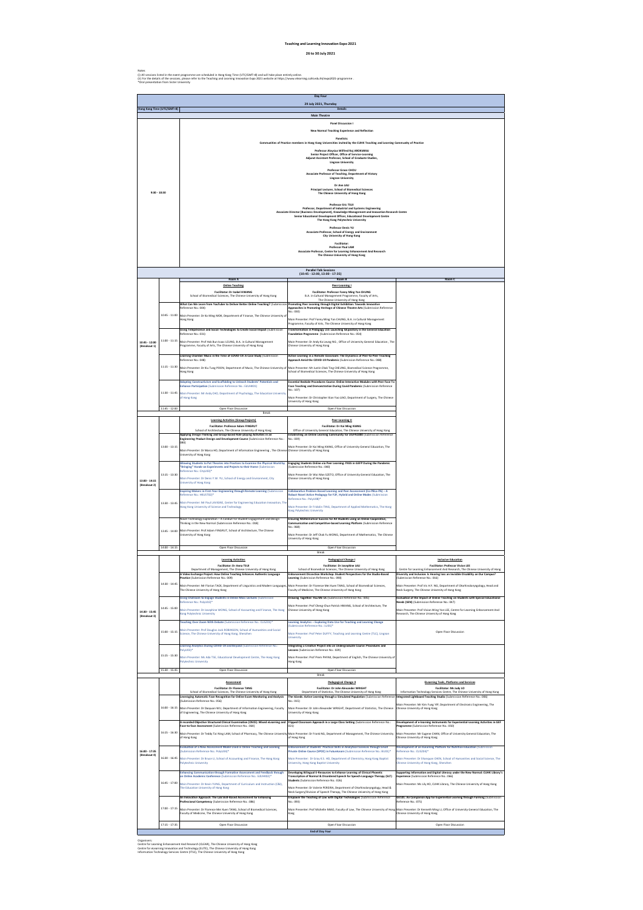| Day Four<br>29 July 2021, Thursday |                 |                                                                                                                                                                                             |                                                                                                                                                                                                                          |                                                                                                                                                                 |  |
|------------------------------------|-----------------|---------------------------------------------------------------------------------------------------------------------------------------------------------------------------------------------|--------------------------------------------------------------------------------------------------------------------------------------------------------------------------------------------------------------------------|-----------------------------------------------------------------------------------------------------------------------------------------------------------------|--|
| Hong Kong Time (UTC/GMT+8)         |                 |                                                                                                                                                                                             | <b>Details</b><br><b>Main Theatre</b>                                                                                                                                                                                    |                                                                                                                                                                 |  |
|                                    |                 |                                                                                                                                                                                             | <b>Panel Discussion I</b>                                                                                                                                                                                                |                                                                                                                                                                 |  |
|                                    |                 | <b>New Normal Teaching Experience and Reflection</b>                                                                                                                                        |                                                                                                                                                                                                                          |                                                                                                                                                                 |  |
|                                    |                 |                                                                                                                                                                                             | Panelists:<br>Communities of Practice members in Hong Kong Universities invited by the CUHK Teaching and Learning Community of Practice                                                                                  |                                                                                                                                                                 |  |
|                                    |                 | Professor Aloysius Wilfred Raj AROKIARAJ<br>Senior Project Officer, Office of Service-Learning<br>Adjunct Assistant Professor, School of Graduate Studies,                                  |                                                                                                                                                                                                                          |                                                                                                                                                                 |  |
|                                    |                 | <b>Lingnan University</b><br>Professor Grace CHOU<br>Associate Professor of Teaching, Department of History                                                                                 |                                                                                                                                                                                                                          |                                                                                                                                                                 |  |
| $9:30 - 10:30$                     |                 | <b>Lingnan University</b><br>Dr Ann LAU<br>Principal Lecturer, School of Biomedical Sciences<br>The Chinese University of Hong Kong                                                         |                                                                                                                                                                                                                          |                                                                                                                                                                 |  |
|                                    |                 | <b>Professor Eric TSUI</b><br>Professor, Department of Industrial and Systems Engineering<br>Associate Director (Business Development), Knowledge Management and Innovation Research Centre |                                                                                                                                                                                                                          |                                                                                                                                                                 |  |
|                                    |                 | Senior Educational Development Officer, Educational Development Centre<br>The Hong Kong Polytechnic University<br><b>Professor Denis YU</b>                                                 |                                                                                                                                                                                                                          |                                                                                                                                                                 |  |
|                                    |                 | Associate Professor, School of Energy and Environment<br>City University of Hong Kong<br><b>Facilitator:</b>                                                                                |                                                                                                                                                                                                                          |                                                                                                                                                                 |  |
|                                    |                 |                                                                                                                                                                                             | <b>Professor Paul LAM</b><br>Associate Professor, Centre for Learning Enhancement And Research<br>The Chinese University of Hong Kong                                                                                    |                                                                                                                                                                 |  |
|                                    |                 |                                                                                                                                                                                             | <b>Parallel Talk Sessions</b><br>$(10:45 - 12:00, 13:00 - 17:35)$                                                                                                                                                        |                                                                                                                                                                 |  |
|                                    |                 | Room A                                                                                                                                                                                      | Room B                                                                                                                                                                                                                   | Room C                                                                                                                                                          |  |
|                                    |                 | <b>Online Teaching</b><br><b>Facilitator: Dr Isabel HWANG</b>                                                                                                                               | Peer-Learning I<br>Facilitator: Professor Fanny Ming Yan CHUNG                                                                                                                                                           |                                                                                                                                                                 |  |
|                                    |                 | School of Biomedical Sciences, The Chinese University of Hong Kong                                                                                                                          | B.A. in Cultural Management Programme, Faculty of Arts,<br>The Chinese University of Hong Kong                                                                                                                           |                                                                                                                                                                 |  |
|                                    |                 | What Can We Learn from YouTuber to Deliver Better Online Teaching? (Submission Promoting Peer Learning through Digital Exhibition: Towards Innovative<br>Reference No.: 004)                | Approaches in Promoting Heritage of Chinese Theatre Arts (Submission Reference                                                                                                                                           |                                                                                                                                                                 |  |
|                                    | $10:45 - 11:00$ | Main Presenter: Dr Ka Ming MOK, Department of Finance, The Chinese University of                                                                                                            | No.: 030)                                                                                                                                                                                                                |                                                                                                                                                                 |  |
|                                    |                 | Hong Kong                                                                                                                                                                                   | Main Presenter: Prof Fanny Ming Yan CHUNG, B.A. in Cultural Management<br>Programme, Faculty of Arts, The Chinese University of Hong Kong                                                                                |                                                                                                                                                                 |  |
|                                    |                 | Using Telepresence and Social Technologies to Create Social Impact (Submission<br>Reference No.: 031)                                                                                       | Transformation in Pedagogy 2.0: Launching GEpository in the General Education<br>Foundation Programme (Submission Reference No.: 054)                                                                                    |                                                                                                                                                                 |  |
| 10:45 - 12:00<br>(Breakout 1)      | $11:00 - 11:15$ | Main Presenter: Prof Hok Bun Isaac LEUNG, B.A. in Cultural Management<br>Programme, Faculty of Arts, The Chinese University of Hong Kong                                                    | Main Presenter: Dr Andy Ka Leung NG, Office of University General Education, The<br>Chinese University of Hong Kong                                                                                                      |                                                                                                                                                                 |  |
|                                    |                 | Learning Chamber Music in the Time of COVID-19: A Case Study (Submission<br>Reference No.: 048)                                                                                             | Active Learning in a Remote Classroom: The Dynamics of Peer-to-Peer Teaching<br>Approach Amid the COVID-19 Pandemic (Submission Reference No.: 088)                                                                      |                                                                                                                                                                 |  |
|                                    | $11:15 - 11:30$ | Main Presenter: Dr Kiu Tung POON, Department of Music, The Chinese University of                                                                                                            | Main Presenter: Mr Justin Chak Ting CHEUNG, Biomedical Science Programme,                                                                                                                                                |                                                                                                                                                                 |  |
|                                    |                 | Hong Kong                                                                                                                                                                                   | School of Biomedical Sciences, The Chinese University of Hong Kong                                                                                                                                                       |                                                                                                                                                                 |  |
|                                    |                 | Adopting Constructivism and Scaffolding to Unleash Students' Potentials and<br>Enhance Participation (Submission Reference No.: EdUHK01)                                                    | Essential Bedside Procedures Course: Online Interactive Modules with Peer Face To<br>Face Teaching and Demonstration During Covid Pandemic (Submission Reference<br>Vo.: 107)                                            |                                                                                                                                                                 |  |
|                                    | $11:30 - 11:45$ | Main Presenter: Mr Andy CHO, Department of Psychology, The Education University<br>of Hong Kong                                                                                             | Main Presenter: Dr Christopher Xian Yao LIAO, Department of Surgery, The Chinese                                                                                                                                         |                                                                                                                                                                 |  |
|                                    | $11:45 - 12:00$ | Open Floor Discussion                                                                                                                                                                       | University of Hong Kong<br>Open Floor Discussion                                                                                                                                                                         |                                                                                                                                                                 |  |
|                                    |                 | Break                                                                                                                                                                                       |                                                                                                                                                                                                                          |                                                                                                                                                                 |  |
|                                    |                 | <b>Learning Activities (Group Projects)</b><br><b>Facilitator: Professor Adam FINGRUT</b>                                                                                                   | Peer-Learning II<br><b>Facilitator: Dr Kai Ming KIANG</b>                                                                                                                                                                |                                                                                                                                                                 |  |
|                                    |                 | School of Architecture, The Chinese University of Hong Kong<br>Applying Design Thinking and Group-based Role-playing Activities in an                                                       | Office of University General Education, The Chinese University of Hong Kong<br>Establishing an Online Learning Community for UGFN1000 (Submission Reference                                                              |                                                                                                                                                                 |  |
|                                    | $13:00 - 13:15$ | Engineering Product Design and Development Course (Submission Reference No.:<br>080)                                                                                                        | No.: 039<br>Main Presenter: Dr Kai Ming KIANG, Office of University General Education, The                                                                                                                               |                                                                                                                                                                 |  |
|                                    |                 | Main Presenter: Dr Marco HO, Department of Information Engineering, The Chinese Chinese University of Hong Kong<br>University of Hong Kong                                                  |                                                                                                                                                                                                                          |                                                                                                                                                                 |  |
|                                    |                 | Allowing Students to Put Theories into Practices to Examine the Physical World by                                                                                                           | Engaging Students Online via Peer Learning: PASS in GEFP During the Pandemic<br>(Submission Reference No.: 040)                                                                                                          |                                                                                                                                                                 |  |
|                                    | $13:15 - 13:30$ | "Bringing" Hands-on Experiments and Projects to their Home (Submission<br>Reference No.: CityU03)*                                                                                          | Main Presenter: Dr Wai Man SZETO, Office of University General Education, The                                                                                                                                            |                                                                                                                                                                 |  |
| $13:00 - 14:15$<br>(Breakout 2)    |                 | Main Presenter: Dr Denis Y.W. YU, School of Energy and Environment, City<br><b>University of Hong Kong</b>                                                                                  | Chinese University of Hong Kong                                                                                                                                                                                          |                                                                                                                                                                 |  |
|                                    |                 | Inspiring Makers in First-Year Engineering through Remote Learning (Submission                                                                                                              | Collaborative Problem-Based Learning and Peer Assessment (Co-PBLa-PA) - A                                                                                                                                                |                                                                                                                                                                 |  |
|                                    | 13:30 - 13:45   | Reference No.: HKUST02)*<br>Main Presenter: Mr Paul LAVIGNE, Center for Engineering Education Innovation, The                                                                               | Robust Novel Active Pedagogy for F2F, Hybrid and Online Modes (Submission<br>Reference No.: PolyU08)*                                                                                                                    |                                                                                                                                                                 |  |
|                                    |                 | Hong Kong University of Science and Technology                                                                                                                                              | Main Presenter: Dr Fridolin TING, Department of Applied Mathematics, The Hong<br>Cong Polytechnic University                                                                                                             |                                                                                                                                                                 |  |
|                                    |                 | Novel Technology Exploration - A Conduit for Student Engagement and Design<br>Thinking in the New Normal (Submission Reference No.: 018)                                                    | Ensuring Mathematical Success for All Students using an Online Cooperative,<br>Communication and Competitive-based Learning Platform (Submission Reference                                                               |                                                                                                                                                                 |  |
|                                    |                 | 13:45 - 14:00 Main Presenter: Prof Adam FINGRUT, School of Architecture, The Chinese                                                                                                        | No.: 068)                                                                                                                                                                                                                |                                                                                                                                                                 |  |
|                                    |                 | University of Hong Kong                                                                                                                                                                     | Main Presenter: Dr Jeff Chak Fu WONG, Department of Mathematics, The Chinese<br>University of Hong Kong                                                                                                                  |                                                                                                                                                                 |  |
|                                    | $14:00 - 14:15$ | Open Floor Discussion                                                                                                                                                                       | Open Floor Discussion                                                                                                                                                                                                    |                                                                                                                                                                 |  |
|                                    |                 | <b>Learning Activities</b>                                                                                                                                                                  | <b>Break</b><br>Pedagogical Change I                                                                                                                                                                                     | <b>Inclusive Education</b>                                                                                                                                      |  |
|                                    |                 | Facilitator: Dr Anna TSUI                                                                                                                                                                   | <b>Facilitator: Dr Josephine LAU</b><br>School of Biomedical Sciences, The Chinese University of Hong Kong                                                                                                               | <b>Facilitator: Professor Vivian LEE</b>                                                                                                                        |  |
|                                    |                 | Department of Management, The Chinese University of Hong Kong<br>A Video Exchange Project: How Online Teaching Enhances Authentic Language                                                  | Enhancement Dissection Workshop: Student Perspectives for the Studio-Based                                                                                                                                               | Centre for Learning Enhancement And Research, The Chinese University of Hong<br>Diversity and Inclusion: Is Hearing loss an Invisible Disability on Our Campus? |  |
|                                    | 14:30 - 14:45   | Practice (Submission Reference No.: 009)<br>Main Presenter: Mr Florian TACK, Department of Linguistics and Modern Languages                                                                 | Learning (Submission Reference No.: 090)<br>Main Presenter: Dr Florence Mei Kuen TANG, School of Biomedical Sciences,                                                                                                    | Submission Reference No.: 016)<br>Main Presenter: Prof Iris H.Y. NG, Department of Otorhinolaryngology, Head and                                                |  |
|                                    |                 | The Chinese University of Hong Kong                                                                                                                                                         | Faculty of Medicine, The Chinese University of Hong Kong                                                                                                                                                                 | Neck Surgery, The Chinese University of Hong Kong                                                                                                               |  |
|                                    |                 | Using Chatroom to Engage Students in Online Mass Lectures (Submission<br>Reference No.: PolyU02)*                                                                                           | Drawing Together: You Me Us (Submission Reference No.: 005)                                                                                                                                                              | Evaluation of the Impact of Online Teaching on Students with Special Educational<br>Veeds (SEN) (Submission Reference No.: 047)                                 |  |
| 14:30 - 15:45                      | $14:45 - 15:00$ | Main Presenter: Dr Josephine WONG, School of Accounting and Finance, The Hong<br><b>Kong Polytechnic University</b>                                                                         | Main Presenter: Prof Cheng-Chun Patrick HWANG, School of Architecture, The<br>Chinese University of Hong Kong                                                                                                            | Main Presenter: Prof Vivian Wing Yan LEE, Centre for Learning Enhancement And<br>Research, The Chinese University of Hong Kong                                  |  |
| (Breakout 3)                       |                 | Teaching Over Zoom With Debate (Submission Reference No.: CUSZ01)*                                                                                                                          | Learning Analytics - Exploring Data Use for Teaching and Learning Change                                                                                                                                                 |                                                                                                                                                                 |  |
|                                    | $15:00 - 15:15$ | Main Presenter: Prof Douglas Jack ROBINSON, School of Humanities and Social                                                                                                                 | Submission Reference No.: LU01)*                                                                                                                                                                                         | Open Floor Discussion                                                                                                                                           |  |
|                                    |                 | Science, The Chinese University of Hong Kong, Shenzhen                                                                                                                                      | Main Presenter: Prof Peter DUFFY, Teaching and Learning Centre (TLC), Lingnan<br><b>University</b>                                                                                                                       |                                                                                                                                                                 |  |
|                                    |                 | Learning Analytics During COVID-19 and Beyond (Submission Reference No.:<br>PolyU03)*                                                                                                       | Integrating a Creative Project into an Undergraduate Course: Procedures and<br>Lessons (Submission Reference No.: 029)                                                                                                   |                                                                                                                                                                 |  |
|                                    | $15:15 - 15:30$ | Main Presenter: Ms Ada TSE, Educational Development Centre, The Hong Kong                                                                                                                   | Main Presenter: Prof Prem PHYAK, Department of English, The Chinese University of                                                                                                                                        |                                                                                                                                                                 |  |
|                                    |                 | <b>Polytechnic University</b>                                                                                                                                                               | Hong Kong                                                                                                                                                                                                                |                                                                                                                                                                 |  |
|                                    | $15:30 - 15:45$ | Open Floor Discussion                                                                                                                                                                       | Open Floor Discussion<br>Break                                                                                                                                                                                           |                                                                                                                                                                 |  |
|                                    |                 | Assessment<br><b>Facilitator: Dr Florence TANG</b>                                                                                                                                          | Pedagogical Change II<br>Facilitator: Dr John Alexander WRIGHT                                                                                                                                                           | <b>ELearning Tools, Platforms and Services</b><br>Facilitator: Ms Judy LO                                                                                       |  |
|                                    |                 | School of Biomedical Sciences, The Chinese University of Hong Kong<br>Leveraging Automatic Face Recognition for Online Exam Monitoring and Analysis                                         | Department of Statistics, The Chinese University of Hong Kong<br>The Islands: Active Learning through a Simulated Population (Submission Reference Integrated Lightboard Teaching Studio (Submission Reference No.: 006) | Information Technology Services Centre, The Chinese University of Hong Kong                                                                                     |  |
|                                    | $16:00 - 16:15$ | (Submission Reference No.: 056)                                                                                                                                                             | No.: 015)                                                                                                                                                                                                                | Main Presenter: Mr Kim Fung YIP, Department of Electronic Engineering, The                                                                                      |  |
|                                    |                 | Main Presenter: Dr Daoyuan WU, Department of Information Engineering, Faculty<br>of Engineering, The Chinese University of Hong Kong                                                        | Main Presenter: Dr John Alexander WRIGHT, Department of Statistics, The Chinese<br>University of Hong Kong                                                                                                               | Chinese University of Hong Kong                                                                                                                                 |  |
|                                    |                 | A recorded Objective Structured Clinical Examination (OSCE): Mixed eLearning and<br>Face-to-face Assessment (Submission Reference No.: 064)                                                 | Flipped Classroom Approach in a Large Class Setting (Submission Reference No.:                                                                                                                                           | Development of e-learning Instruments for Experiential-Learning Activities in GEF<br>Programme (Submission Reference No.: 050)                                  |  |
|                                    | $16:15 - 16:30$ | Main Presenter: Dr Teddy Tai Ning LAM, School of Pharmacy, The Chinese University Main Presenter: Dr Frank NG, Department of Management, The Chinese University                             |                                                                                                                                                                                                                          | Main Presenter: Mr Eugene CHAN, Office of University General Education, The                                                                                     |  |
|                                    |                 | of Hong Kong                                                                                                                                                                                | of Hong Kong                                                                                                                                                                                                             | Chinese University of Hong Kong                                                                                                                                 |  |
| 16:00 - 17:35<br>(Breakout 4)      |                 | Evaluation of a New Assessment Model Used in Online Teaching and Learning<br>(Submission Reference No.: PolyU04)*                                                                           | Enhancement of Students' Practical Skills in Analytical Sciences through Small<br>Private Online Course (SPOC) in FutureLearn (Submission Reference No.: BU01)*                                                          | Development of an ELearning Platform for Nutrition Education (Submission<br>Reference No.: CUSZ04)*                                                             |  |
|                                    | $16:30 - 16:45$ | Main Presenter: Dr Bruce LI, School of Accounting and Finance, The Hong Kong<br><b>Polytechnic University</b>                                                                               | Main Presenter: Dr Gray K.S. HO, Department of Chemistry, Hong Kong Baptist<br>University, Hong Kong Baptist University                                                                                                  | Main Presenter: Dr Shanquan CHEN, School of Humanities and Social Science, The<br>Chinese University of Hong Kong, Shenzhen                                     |  |
|                                    |                 | Enhancing Communication through Formative Assessment and Feedback through                                                                                                                   | Developing Bilingual E-Resources to Enhance Learning of Clinical Phonetic                                                                                                                                                | Supporting Information and Digital Literacy under the New Normal: CUHK Library's                                                                                |  |
|                                    |                 | an Online Academic Conference (Submission Reference No.: EdUHK02)*                                                                                                                          | Transcription of Normal & Disordered Speech for Speech-Language Therapy (SLT)<br>Students (Submission Reference No.: 026)                                                                                                | Experience (Submission Reference No.: 066)                                                                                                                      |  |
|                                    | 16:45 - 17:00   | Main Presenter: Dr Kevin YUNG, Department of Curriculum and Instruction (C&I),<br>The Education University of Hong Kong                                                                     | Main Presenter: Dr Valerie PEREIRA, Department of Otorhinolaryngology, Head &                                                                                                                                            | Main Presenter: Ms Lily KO, CUHK Library, The Chinese University of Hong Kong                                                                                   |  |
|                                    |                 | An Innovative Approach: The Lab Skill-Based Assessment for Enhancing                                                                                                                        | Neck Surgery/Division of Speech Therapy, The Chinese University of Hong Kong<br>Empower the Teaching of Law with Digital Technologies (Submission Reference                                                              | GE101: An Companion App for Experiential Learning through Farming (Submission                                                                                   |  |
|                                    | $17:00 - 17:15$ | Professional Competency (Submission Reference No.: 086)                                                                                                                                     | No.: 093)                                                                                                                                                                                                                | Reference No.: 075)                                                                                                                                             |  |
|                                    |                 | Main Presenter: Dr Florence Mei Kuen TANG, School of Biomedical Sciences,<br>Faculty of Medicine, The Chinese University of Hong Kong                                                       | Main Presenter: Prof Michelle MIAO, Faculty of Law, The Chinese University of Hong<br>Kone                                                                                                                               | Main Presenter: Dr Kenneth Ming LI, Office of University General Education, The<br>Chinese University of Hong Kong                                              |  |
|                                    | $17:15 - 17:35$ | Open Floor Discussion                                                                                                                                                                       | Open Floor Discussion                                                                                                                                                                                                    | Open Floor Discussion                                                                                                                                           |  |
|                                    |                 |                                                                                                                                                                                             | <b>End of Day Four</b>                                                                                                                                                                                                   |                                                                                                                                                                 |  |

Organisers:<br>Centre for Learning Enhancement And Research (CLEAR), The Chinese University of Hong Kong<br>Centre for eLearning Innovation and Technology (ELITE), The Chinese University of Hong Kong<br>Information Technology Servi

### **Teaching and Learning Innovation Expo 2021**

### **26 to 30 July 2021**

Notes<br>(i) All sessions listed in the event programme are scheduled in Hong Kong Time (UTC/GMT+8) and will take place entirely online.<br>(ii) For the details of the sessions, please refer to the Teaching and Learning Innovati